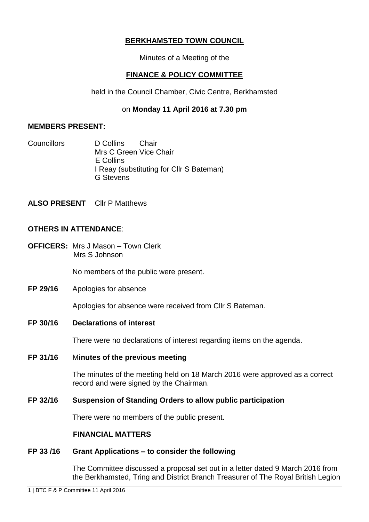# **BERKHAMSTED TOWN COUNCIL**

Minutes of a Meeting of the

# **FINANCE & POLICY COMMITTEE**

held in the Council Chamber, Civic Centre, Berkhamsted

# on **Monday 11 April 2016 at 7.30 pm**

# **MEMBERS PRESENT:**

Councillors D Collins Chair Mrs C Green Vice Chair E Collins I Reay (substituting for Cllr S Bateman) G Stevens

**ALSO PRESENT** Cllr P Matthews

# **OTHERS IN ATTENDANCE**:

**OFFICERS:** Mrs J Mason – Town Clerk Mrs S Johnson

No members of the public were present.

**FP 29/16** Apologies for absence

Apologies for absence were received from Cllr S Bateman.

# **FP 30/16 Declarations of interest**

There were no declarations of interest regarding items on the agenda.

# **FP 31/16** M**inutes of the previous meeting**

The minutes of the meeting held on 18 March 2016 were approved as a correct record and were signed by the Chairman.

# **FP 32/16 Suspension of Standing Orders to allow public participation**

There were no members of the public present.

# **FINANCIAL MATTERS**

# **FP 33 /16 Grant Applications – to consider the following**

The Committee discussed a proposal set out in a letter dated 9 March 2016 from the Berkhamsted, Tring and District Branch Treasurer of The Royal British Legion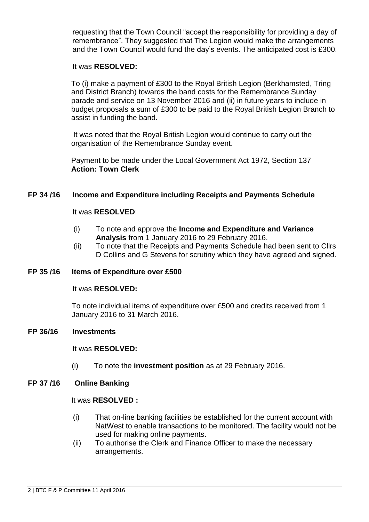requesting that the Town Council "accept the responsibility for providing a day of remembrance". They suggested that The Legion would make the arrangements and the Town Council would fund the day's events. The anticipated cost is £300.

### It was **RESOLVED:**

To (i) make a payment of £300 to the Royal British Legion (Berkhamsted, Tring and District Branch) towards the band costs for the Remembrance Sunday parade and service on 13 November 2016 and (ii) in future years to include in budget proposals a sum of £300 to be paid to the Royal British Legion Branch to assist in funding the band.

It was noted that the Royal British Legion would continue to carry out the organisation of the Remembrance Sunday event.

Payment to be made under the Local Government Act 1972, Section 137 **Action: Town Clerk**

# **FP 34 /16 Income and Expenditure including Receipts and Payments Schedule**

## It was **RESOLVED**:

- (i) To note and approve the **Income and Expenditure and Variance Analysis** from 1 January 2016 to 29 February 2016.
- (ii) To note that the Receipts and Payments Schedule had been sent to Cllrs D Collins and G Stevens for scrutiny which they have agreed and signed.

### **FP 35 /16 Items of Expenditure over £500**

### It was **RESOLVED:**

To note individual items of expenditure over £500 and credits received from 1 January 2016 to 31 March 2016.

### **FP 36/16 Investments**

### It was **RESOLVED:**

(i) To note the **investment position** as at 29 February 2016.

# **FP 37 /16 Online Banking**

### It was **RESOLVED :**

- (i) That on-line banking facilities be established for the current account with NatWest to enable transactions to be monitored. The facility would not be used for making online payments.
- (ii) To authorise the Clerk and Finance Officer to make the necessary arrangements.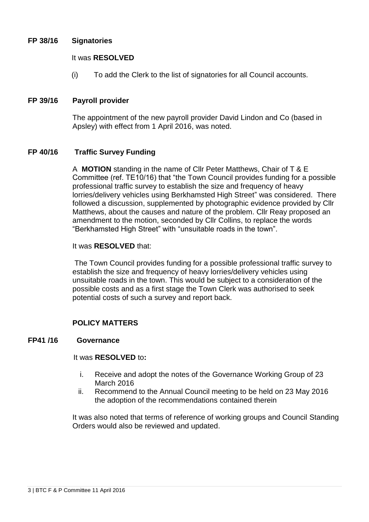## **FP 38/16 Signatories**

### It was **RESOLVED**

(i) To add the Clerk to the list of signatories for all Council accounts.

## **FP 39/16 Payroll provider**

The appointment of the new payroll provider David Lindon and Co (based in Apsley) with effect from 1 April 2016, was noted.

## **FP 40/16 Traffic Survey Funding**

A **MOTION** standing in the name of Cllr Peter Matthews, Chair of T & E Committee (ref. TE10/16) that "the Town Council provides funding for a possible professional traffic survey to establish the size and frequency of heavy lorries/delivery vehicles using Berkhamsted High Street" was considered. There followed a discussion, supplemented by photographic evidence provided by Cllr Matthews, about the causes and nature of the problem. Cllr Reay proposed an amendment to the motion, seconded by Cllr Collins, to replace the words "Berkhamsted High Street" with "unsuitable roads in the town".

## It was **RESOLVED** that:

The Town Council provides funding for a possible professional traffic survey to establish the size and frequency of heavy lorries/delivery vehicles using unsuitable roads in the town. This would be subject to a consideration of the possible costs and as a first stage the Town Clerk was authorised to seek potential costs of such a survey and report back.

# **POLICY MATTERS**

### **FP41 /16 Governance**

## It was **RESOLVED** to**:**

- i. Receive and adopt the notes of the Governance Working Group of 23 March 2016
- ii. Recommend to the Annual Council meeting to be held on 23 May 2016 the adoption of the recommendations contained therein

It was also noted that terms of reference of working groups and Council Standing Orders would also be reviewed and updated.